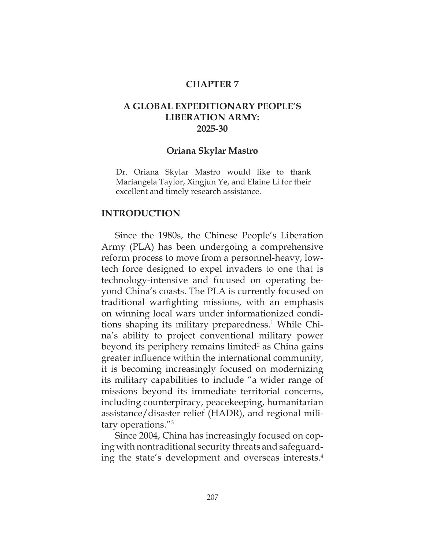### **CHAPTER 7**

# **A GLOBAL EXPEDITIONARY PEOPLE'S LIBERATION ARMY: 2025-30**

### **Oriana Skylar Mastro**

Dr. Oriana Skylar Mastro would like to thank Mariangela Taylor, Xingjun Ye, and Elaine Li for their excellent and timely research assistance.

### **INTRODUCTION**

Since the 1980s, the Chinese People's Liberation Army (PLA) has been undergoing a comprehensive reform process to move from a personnel-heavy, lowtech force designed to expel invaders to one that is technology-intensive and focused on operating beyond China's coasts. The PLA is currently focused on traditional warfighting missions, with an emphasis on winning local wars under informationized conditions shaping its military preparedness.<sup>1</sup> While China's ability to project conventional military power beyond its periphery remains limited<sup>2</sup> as China gains greater influence within the international community, it is becoming increasingly focused on modernizing its military capabilities to include "a wider range of missions beyond its immediate territorial concerns, including counterpiracy, peacekeeping, humanitarian assistance/disaster relief (HADR), and regional military operations."3

Since 2004, China has increasingly focused on coping with nontraditional security threats and safeguarding the state's development and overseas interests.4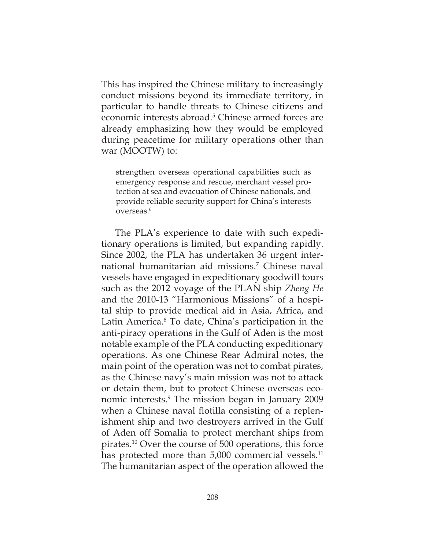This has inspired the Chinese military to increasingly conduct missions beyond its immediate territory, in particular to handle threats to Chinese citizens and economic interests abroad.<sup>5</sup> Chinese armed forces are already emphasizing how they would be employed during peacetime for military operations other than war (MOOTW) to:

strengthen overseas operational capabilities such as emergency response and rescue, merchant vessel protection at sea and evacuation of Chinese nationals, and provide reliable security support for China's interests overseas.6

The PLA's experience to date with such expeditionary operations is limited, but expanding rapidly. Since 2002, the PLA has undertaken 36 urgent international humanitarian aid missions.7 Chinese naval vessels have engaged in expeditionary goodwill tours such as the 2012 voyage of the PLAN ship *Zheng He*  and the 2010-13 "Harmonious Missions" of a hospital ship to provide medical aid in Asia, Africa, and Latin America.<sup>8</sup> To date, China's participation in the anti-piracy operations in the Gulf of Aden is the most notable example of the PLA conducting expeditionary operations. As one Chinese Rear Admiral notes, the main point of the operation was not to combat pirates, as the Chinese navy's main mission was not to attack or detain them, but to protect Chinese overseas economic interests.<sup>9</sup> The mission began in January 2009 when a Chinese naval flotilla consisting of a replenishment ship and two destroyers arrived in the Gulf of Aden off Somalia to protect merchant ships from pirates.10 Over the course of 500 operations, this force has protected more than 5,000 commercial vessels.<sup>11</sup> The humanitarian aspect of the operation allowed the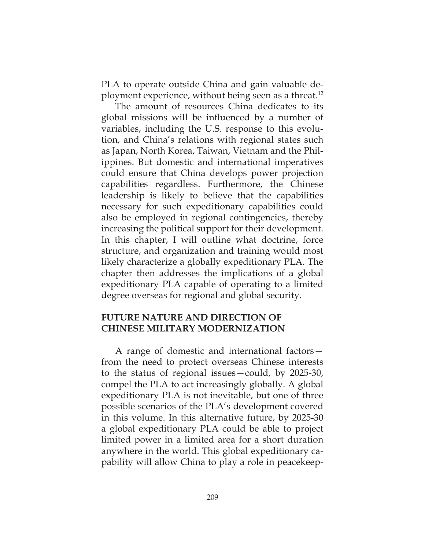PLA to operate outside China and gain valuable deployment experience, without being seen as a threat.<sup>12</sup>

The amount of resources China dedicates to its global missions will be influenced by a number of variables, including the U.S. response to this evolution, and China's relations with regional states such as Japan, North Korea, Taiwan, Vietnam and the Philippines. But domestic and international imperatives could ensure that China develops power projection capabilities regardless. Furthermore, the Chinese leadership is likely to believe that the capabilities necessary for such expeditionary capabilities could also be employed in regional contingencies, thereby increasing the political support for their development. In this chapter, I will outline what doctrine, force structure, and organization and training would most likely characterize a globally expeditionary PLA. The chapter then addresses the implications of a global expeditionary PLA capable of operating to a limited degree overseas for regional and global security.

# **FUTURE NATURE AND DIRECTION OF CHINESE MILITARY MODERNIZATION**

A range of domestic and international factors from the need to protect overseas Chinese interests to the status of regional issues—could, by 2025-30, compel the PLA to act increasingly globally. A global expeditionary PLA is not inevitable, but one of three possible scenarios of the PLA's development covered in this volume. In this alternative future, by 2025-30 a global expeditionary PLA could be able to project limited power in a limited area for a short duration anywhere in the world. This global expeditionary capability will allow China to play a role in peacekeep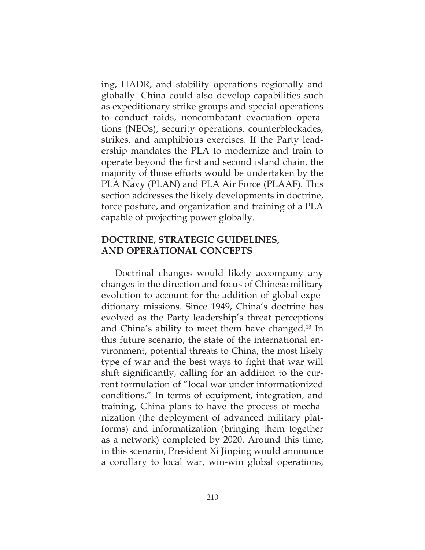ing, HADR, and stability operations regionally and globally. China could also develop capabilities such as expeditionary strike groups and special operations to conduct raids, noncombatant evacuation operations (NEOs), security operations, counterblockades, strikes, and amphibious exercises. If the Party leadership mandates the PLA to modernize and train to operate beyond the first and second island chain, the majority of those efforts would be undertaken by the PLA Navy (PLAN) and PLA Air Force (PLAAF). This section addresses the likely developments in doctrine, force posture, and organization and training of a PLA capable of projecting power globally.

## **DOCTRINE, STRATEGIC GUIDELINES, AND OPERATIONAL CONCEPTS**

Doctrinal changes would likely accompany any changes in the direction and focus of Chinese military evolution to account for the addition of global expeditionary missions. Since 1949, China's doctrine has evolved as the Party leadership's threat perceptions and China's ability to meet them have changed.<sup>13</sup> In this future scenario, the state of the international environment, potential threats to China, the most likely type of war and the best ways to fight that war will shift signifcantly, calling for an addition to the current formulation of "local war under informationized conditions." In terms of equipment, integration, and training, China plans to have the process of mechanization (the deployment of advanced military platforms) and informatization (bringing them together as a network) completed by 2020. Around this time, in this scenario, President Xi Jinping would announce a corollary to local war, win-win global operations,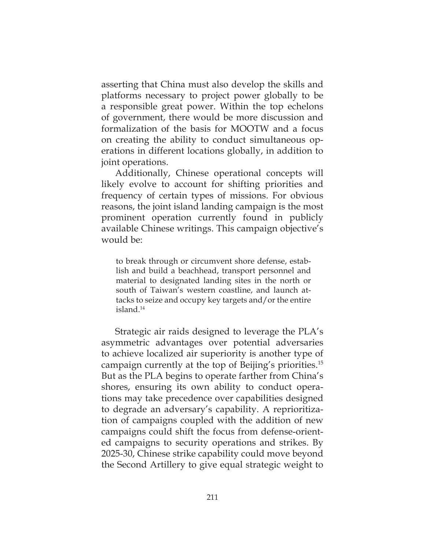asserting that China must also develop the skills and platforms necessary to project power globally to be a responsible great power. Within the top echelons of government, there would be more discussion and formalization of the basis for MOOTW and a focus on creating the ability to conduct simultaneous operations in different locations globally, in addition to joint operations.

Additionally, Chinese operational concepts will likely evolve to account for shifting priorities and frequency of certain types of missions. For obvious reasons, the joint island landing campaign is the most prominent operation currently found in publicly available Chinese writings. This campaign objective's would be:

to break through or circumvent shore defense, establish and build a beachhead, transport personnel and material to designated landing sites in the north or south of Taiwan's western coastline, and launch attacks to seize and occupy key targets and/or the entire island.14

Strategic air raids designed to leverage the PLA's asymmetric advantages over potential adversaries to achieve localized air superiority is another type of campaign currently at the top of Beijing's priorities.15 But as the PLA begins to operate farther from China's shores, ensuring its own ability to conduct operations may take precedence over capabilities designed to degrade an adversary's capability. A reprioritization of campaigns coupled with the addition of new campaigns could shift the focus from defense-oriented campaigns to security operations and strikes. By 2025-30, Chinese strike capability could move beyond the Second Artillery to give equal strategic weight to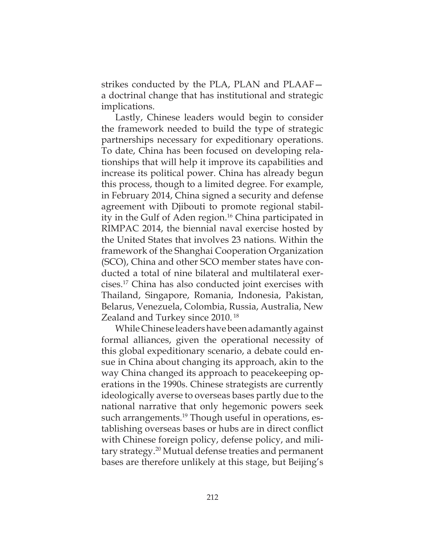strikes conducted by the PLA, PLAN and PLAAF a doctrinal change that has institutional and strategic implications.

Lastly, Chinese leaders would begin to consider the framework needed to build the type of strategic partnerships necessary for expeditionary operations. To date, China has been focused on developing relationships that will help it improve its capabilities and increase its political power. China has already begun this process, though to a limited degree. For example, in February 2014, China signed a security and defense agreement with Djibouti to promote regional stability in the Gulf of Aden region.16 China participated in RIMPAC 2014, the biennial naval exercise hosted by the United States that involves 23 nations. Within the framework of the Shanghai Cooperation Organization (SCO), China and other SCO member states have conducted a total of nine bilateral and multilateral exercises.17 China has also conducted joint exercises with Thailand, Singapore, Romania, Indonesia, Pakistan, Belarus, Venezuela, Colombia, Russia, Australia, New Zealand and Turkey since 2010. 18

While Chinese leaders have been adamantly against formal alliances, given the operational necessity of this global expeditionary scenario, a debate could ensue in China about changing its approach, akin to the way China changed its approach to peacekeeping operations in the 1990s. Chinese strategists are currently ideologically averse to overseas bases partly due to the national narrative that only hegemonic powers seek such arrangements.<sup>19</sup> Though useful in operations, establishing overseas bases or hubs are in direct conflict with Chinese foreign policy, defense policy, and military strategy.20 Mutual defense treaties and permanent bases are therefore unlikely at this stage, but Beijing's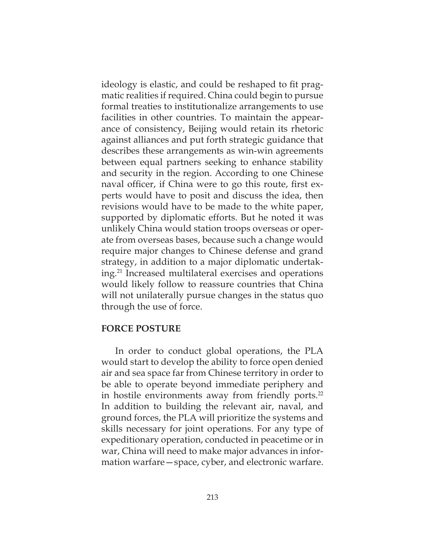ideology is elastic, and could be reshaped to fit pragmatic realities if required. China could begin to pursue formal treaties to institutionalize arrangements to use facilities in other countries. To maintain the appearance of consistency, Beijing would retain its rhetoric against alliances and put forth strategic guidance that describes these arrangements as win-win agreements between equal partners seeking to enhance stability and security in the region. According to one Chinese naval officer, if China were to go this route, first experts would have to posit and discuss the idea, then revisions would have to be made to the white paper, supported by diplomatic efforts. But he noted it was unlikely China would station troops overseas or operate from overseas bases, because such a change would require major changes to Chinese defense and grand strategy, in addition to a major diplomatic undertaking.21 Increased multilateral exercises and operations would likely follow to reassure countries that China will not unilaterally pursue changes in the status quo through the use of force.

### **FORCE POSTURE**

In order to conduct global operations, the PLA would start to develop the ability to force open denied air and sea space far from Chinese territory in order to be able to operate beyond immediate periphery and in hostile environments away from friendly ports. $^{22}$ In addition to building the relevant air, naval, and ground forces, the PLA will prioritize the systems and skills necessary for joint operations. For any type of expeditionary operation, conducted in peacetime or in war, China will need to make major advances in information warfare—space, cyber, and electronic warfare.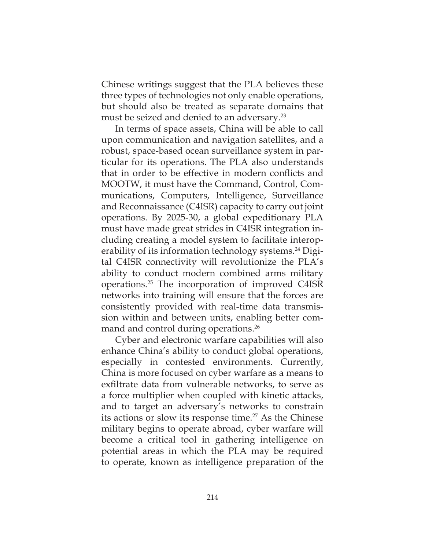Chinese writings suggest that the PLA believes these three types of technologies not only enable operations, but should also be treated as separate domains that must be seized and denied to an adversary.<sup>23</sup>

In terms of space assets, China will be able to call upon communication and navigation satellites, and a robust, space-based ocean surveillance system in particular for its operations. The PLA also understands that in order to be effective in modern conflicts and MOOTW, it must have the Command, Control, Communications, Computers, Intelligence, Surveillance and Reconnaissance (C4ISR) capacity to carry out joint operations. By 2025-30, a global expeditionary PLA must have made great strides in C4ISR integration including creating a model system to facilitate interoperability of its information technology systems.<sup>24</sup> Digital C4ISR connectivity will revolutionize the PLA's ability to conduct modern combined arms military operations.25 The incorporation of improved C4ISR networks into training will ensure that the forces are consistently provided with real-time data transmission within and between units, enabling better command and control during operations.<sup>26</sup>

Cyber and electronic warfare capabilities will also enhance China's ability to conduct global operations, especially in contested environments. Currently, China is more focused on cyber warfare as a means to exfiltrate data from vulnerable networks, to serve as a force multiplier when coupled with kinetic attacks, and to target an adversary's networks to constrain its actions or slow its response time.<sup>27</sup> As the Chinese military begins to operate abroad, cyber warfare will become a critical tool in gathering intelligence on potential areas in which the PLA may be required to operate, known as intelligence preparation of the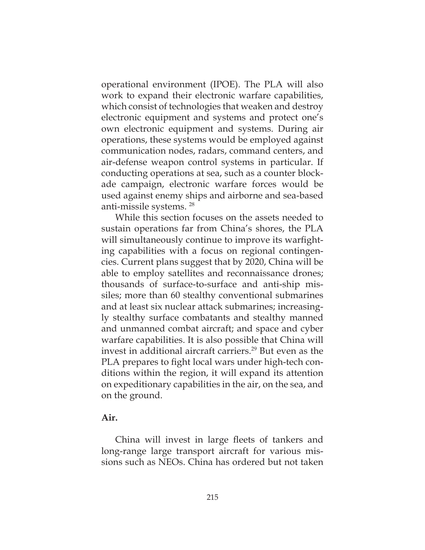operational environment (IPOE). The PLA will also work to expand their electronic warfare capabilities, which consist of technologies that weaken and destroy electronic equipment and systems and protect one's own electronic equipment and systems. During air operations, these systems would be employed against communication nodes, radars, command centers, and air-defense weapon control systems in particular. If conducting operations at sea, such as a counter blockade campaign, electronic warfare forces would be used against enemy ships and airborne and sea-based anti-missile systems. 28

While this section focuses on the assets needed to sustain operations far from China's shores, the PLA will simultaneously continue to improve its warfighting capabilities with a focus on regional contingencies. Current plans suggest that by 2020, China will be able to employ satellites and reconnaissance drones; thousands of surface-to-surface and anti-ship missiles; more than 60 stealthy conventional submarines and at least six nuclear attack submarines; increasingly stealthy surface combatants and stealthy manned and unmanned combat aircraft; and space and cyber warfare capabilities. It is also possible that China will invest in additional aircraft carriers.<sup>29</sup> But even as the PLA prepares to fight local wars under high-tech conditions within the region, it will expand its attention on expeditionary capabilities in the air, on the sea, and on the ground.

## **Air.**

China will invest in large fleets of tankers and long-range large transport aircraft for various missions such as NEOs. China has ordered but not taken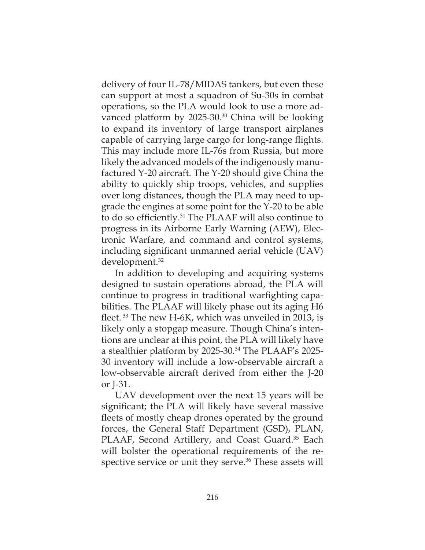delivery of four IL-78/MIDAS tankers, but even these can support at most a squadron of Su-30s in combat operations, so the PLA would look to use a more advanced platform by 2025-30.<sup>30</sup> China will be looking to expand its inventory of large transport airplanes capable of carrying large cargo for long-range flights. This may include more IL-76s from Russia, but more likely the advanced models of the indigenously manufactured Y-20 aircraft. The Y-20 should give China the ability to quickly ship troops, vehicles, and supplies over long distances, though the PLA may need to upgrade the engines at some point for the Y-20 to be able to do so efficiently.<sup>31</sup> The PLAAF will also continue to progress in its Airborne Early Warning (AEW), Electronic Warfare, and command and control systems, including significant unmanned aerial vehicle  $(UAV)$  $development.<sup>32</sup>$ 

In addition to developing and acquiring systems designed to sustain operations abroad, the PLA will continue to progress in traditional warfighting capabilities. The PLAAF will likely phase out its aging H6 fleet.  $33$  The new H-6K, which was unveiled in 2013, is likely only a stopgap measure. Though China's intentions are unclear at this point, the PLA will likely have a stealthier platform by 2025-30.34 The PLAAF's 2025- 30 inventory will include a low-observable aircraft a low-observable aircraft derived from either the J-20 or J-31.

UAV development over the next 15 years will be significant; the PLA will likely have several massive fleets of mostly cheap drones operated by the ground forces, the General Staff Department (GSD), PLAN, PLAAF, Second Artillery, and Coast Guard.<sup>35</sup> Each will bolster the operational requirements of the respective service or unit they serve.<sup>36</sup> These assets will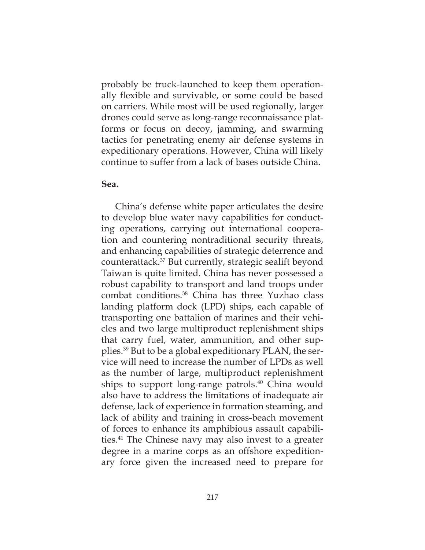probably be truck-launched to keep them operationally flexible and survivable, or some could be based on carriers. While most will be used regionally, larger drones could serve as long-range reconnaissance platforms or focus on decoy, jamming, and swarming tactics for penetrating enemy air defense systems in expeditionary operations. However, China will likely continue to suffer from a lack of bases outside China.

### **Sea.**

China's defense white paper articulates the desire to develop blue water navy capabilities for conducting operations, carrying out international cooperation and countering nontraditional security threats, and enhancing capabilities of strategic deterrence and counterattack.37 But currently, strategic sealift beyond Taiwan is quite limited. China has never possessed a robust capability to transport and land troops under combat conditions.38 China has three Yuzhao class landing platform dock (LPD) ships, each capable of transporting one battalion of marines and their vehicles and two large multiproduct replenishment ships that carry fuel, water, ammunition, and other supplies.39 But to be a global expeditionary PLAN, the service will need to increase the number of LPDs as well as the number of large, multiproduct replenishment ships to support long-range patrols. $40$  China would also have to address the limitations of inadequate air defense, lack of experience in formation steaming, and lack of ability and training in cross-beach movement of forces to enhance its amphibious assault capabilities.41 The Chinese navy may also invest to a greater degree in a marine corps as an offshore expeditionary force given the increased need to prepare for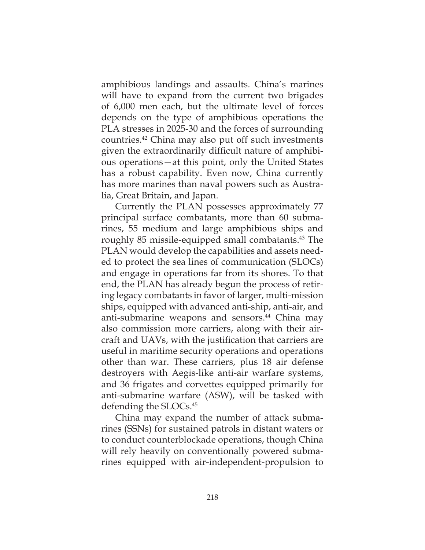amphibious landings and assaults. China's marines will have to expand from the current two brigades of 6,000 men each, but the ultimate level of forces depends on the type of amphibious operations the PLA stresses in 2025-30 and the forces of surrounding countries.42 China may also put off such investments given the extraordinarily difficult nature of amphibious operations—at this point, only the United States has a robust capability. Even now, China currently has more marines than naval powers such as Australia, Great Britain, and Japan.

Currently the PLAN possesses approximately 77 principal surface combatants, more than 60 submarines, 55 medium and large amphibious ships and roughly 85 missile-equipped small combatants.<sup>43</sup> The PLAN would develop the capabilities and assets needed to protect the sea lines of communication (SLOCs) and engage in operations far from its shores. To that end, the PLAN has already begun the process of retiring legacy combatants in favor of larger, multi-mission ships, equipped with advanced anti-ship, anti-air, and anti-submarine weapons and sensors. $44$  China may also commission more carriers, along with their aircraft and UAVs, with the justification that carriers are useful in maritime security operations and operations other than war. These carriers, plus 18 air defense destroyers with Aegis-like anti-air warfare systems, and 36 frigates and corvettes equipped primarily for anti-submarine warfare (ASW), will be tasked with defending the SLOCs.45

China may expand the number of attack submarines (SSNs) for sustained patrols in distant waters or to conduct counterblockade operations, though China will rely heavily on conventionally powered submarines equipped with air-independent-propulsion to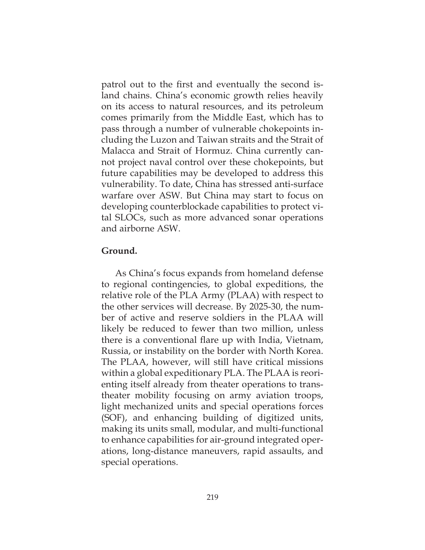patrol out to the frst and eventually the second island chains. China's economic growth relies heavily on its access to natural resources, and its petroleum comes primarily from the Middle East, which has to pass through a number of vulnerable chokepoints including the Luzon and Taiwan straits and the Strait of Malacca and Strait of Hormuz. China currently cannot project naval control over these chokepoints, but future capabilities may be developed to address this vulnerability. To date, China has stressed anti-surface warfare over ASW. But China may start to focus on developing counterblockade capabilities to protect vital SLOCs, such as more advanced sonar operations and airborne ASW.

## **Ground.**

As China's focus expands from homeland defense to regional contingencies, to global expeditions, the relative role of the PLA Army (PLAA) with respect to the other services will decrease. By 2025-30, the number of active and reserve soldiers in the PLAA will likely be reduced to fewer than two million, unless there is a conventional flare up with India, Vietnam, Russia, or instability on the border with North Korea. The PLAA, however, will still have critical missions within a global expeditionary PLA. The PLAA is reorienting itself already from theater operations to transtheater mobility focusing on army aviation troops, light mechanized units and special operations forces (SOF), and enhancing building of digitized units, making its units small, modular, and multi-functional to enhance capabilities for air-ground integrated operations, long-distance maneuvers, rapid assaults, and special operations.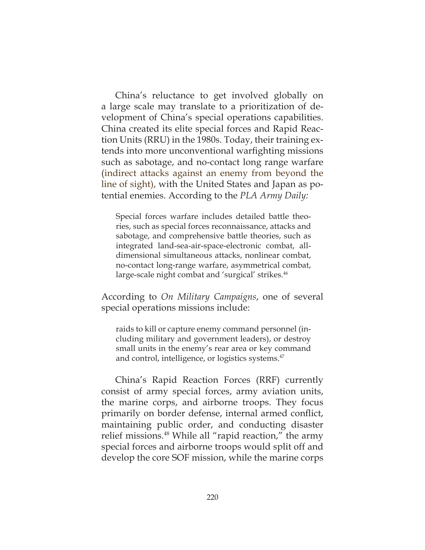China's reluctance to get involved globally on a large scale may translate to a prioritization of development of China's special operations capabilities. China created its elite special forces and Rapid Reaction Units (RRU) in the 1980s. Today, their training extends into more unconventional warfighting missions such as sabotage, and no-contact long range warfare (indirect attacks against an enemy from beyond the line of sight), with the United States and Japan as potential enemies. According to the *PLA Army Daily:*

Special forces warfare includes detailed battle theories, such as special forces reconnaissance, attacks and sabotage, and comprehensive battle theories, such as integrated land-sea-air-space-electronic combat, alldimensional simultaneous attacks, nonlinear combat, no-contact long-range warfare, asymmetrical combat, large-scale night combat and 'surgical' strikes.<sup>46</sup>

According to *On Military Campaigns*, one of several special operations missions include:

raids to kill or capture enemy command personnel (including military and government leaders), or destroy small units in the enemy's rear area or key command and control, intelligence, or logistics systems.<sup>47</sup>

China's Rapid Reaction Forces (RRF) currently consist of army special forces, army aviation units, the marine corps, and airborne troops. They focus primarily on border defense, internal armed conflict, maintaining public order, and conducting disaster relief missions.48 While all "rapid reaction," the army special forces and airborne troops would split off and develop the core SOF mission, while the marine corps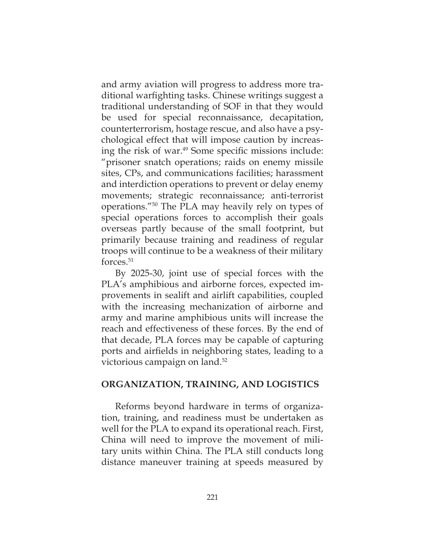and army aviation will progress to address more traditional warfighting tasks. Chinese writings suggest a traditional understanding of SOF in that they would be used for special reconnaissance, decapitation, counterterrorism, hostage rescue, and also have a psychological effect that will impose caution by increasing the risk of war.<sup>49</sup> Some specific missions include: "prisoner snatch operations; raids on enemy missile sites, CPs, and communications facilities; harassment and interdiction operations to prevent or delay enemy movements; strategic reconnaissance; anti-terrorist operations."50 The PLA may heavily rely on types of special operations forces to accomplish their goals overseas partly because of the small footprint, but primarily because training and readiness of regular troops will continue to be a weakness of their military forces.51

By 2025-30, joint use of special forces with the PLA's amphibious and airborne forces, expected improvements in sealift and airlift capabilities, coupled with the increasing mechanization of airborne and army and marine amphibious units will increase the reach and effectiveness of these forces. By the end of that decade, PLA forces may be capable of capturing ports and airfields in neighboring states, leading to a victorious campaign on land.<sup>52</sup>

### **ORGANIZATION, TRAINING, AND LOGISTICS**

Reforms beyond hardware in terms of organization, training, and readiness must be undertaken as well for the PLA to expand its operational reach. First, China will need to improve the movement of military units within China. The PLA still conducts long distance maneuver training at speeds measured by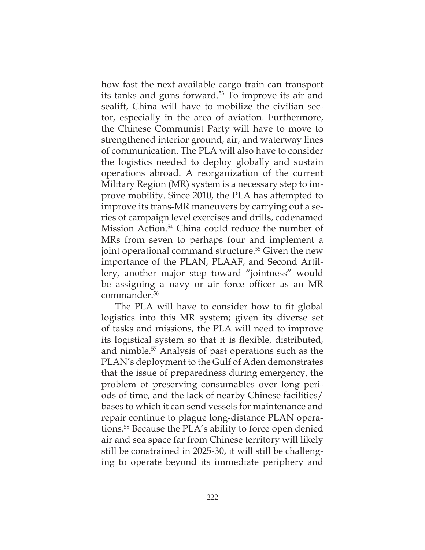how fast the next available cargo train can transport its tanks and guns forward.53 To improve its air and sealift, China will have to mobilize the civilian sector, especially in the area of aviation. Furthermore, the Chinese Communist Party will have to move to strengthened interior ground, air, and waterway lines of communication. The PLA will also have to consider the logistics needed to deploy globally and sustain operations abroad. A reorganization of the current Military Region (MR) system is a necessary step to improve mobility. Since 2010, the PLA has attempted to improve its trans-MR maneuvers by carrying out a series of campaign level exercises and drills, codenamed Mission Action.<sup>54</sup> China could reduce the number of MRs from seven to perhaps four and implement a joint operational command structure.<sup>55</sup> Given the new importance of the PLAN, PLAAF, and Second Artillery, another major step toward "jointness" would be assigning a navy or air force officer as an MR commander.56

The PLA will have to consider how to fit global logistics into this MR system; given its diverse set of tasks and missions, the PLA will need to improve its logistical system so that it is flexible, distributed, and nimble.57 Analysis of past operations such as the PLAN's deployment to the Gulf of Aden demonstrates that the issue of preparedness during emergency, the problem of preserving consumables over long periods of time, and the lack of nearby Chinese facilities/ bases to which it can send vessels for maintenance and repair continue to plague long-distance PLAN operations.<sup>58</sup> Because the PLA's ability to force open denied air and sea space far from Chinese territory will likely still be constrained in 2025-30, it will still be challenging to operate beyond its immediate periphery and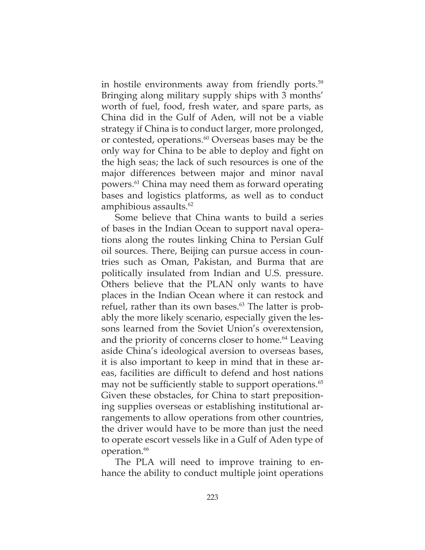in hostile environments away from friendly ports.<sup>59</sup> Bringing along military supply ships with 3 months' worth of fuel, food, fresh water, and spare parts, as China did in the Gulf of Aden, will not be a viable strategy if China is to conduct larger, more prolonged, or contested, operations.<sup>60</sup> Overseas bases may be the only way for China to be able to deploy and fight on the high seas; the lack of such resources is one of the major differences between major and minor naval powers.61 China may need them as forward operating bases and logistics platforms, as well as to conduct amphibious assaults.<sup>62</sup>

Some believe that China wants to build a series of bases in the Indian Ocean to support naval operations along the routes linking China to Persian Gulf oil sources. There, Beijing can pursue access in countries such as Oman, Pakistan, and Burma that are politically insulated from Indian and U.S. pressure. Others believe that the PLAN only wants to have places in the Indian Ocean where it can restock and refuel, rather than its own bases.<sup>63</sup> The latter is probably the more likely scenario, especially given the lessons learned from the Soviet Union's overextension, and the priority of concerns closer to home.<sup>64</sup> Leaving aside China's ideological aversion to overseas bases, it is also important to keep in mind that in these areas, facilities are difficult to defend and host nations may not be sufficiently stable to support operations. $65$ Given these obstacles, for China to start prepositioning supplies overseas or establishing institutional arrangements to allow operations from other countries, the driver would have to be more than just the need to operate escort vessels like in a Gulf of Aden type of operation.<sup>66</sup>

The PLA will need to improve training to enhance the ability to conduct multiple joint operations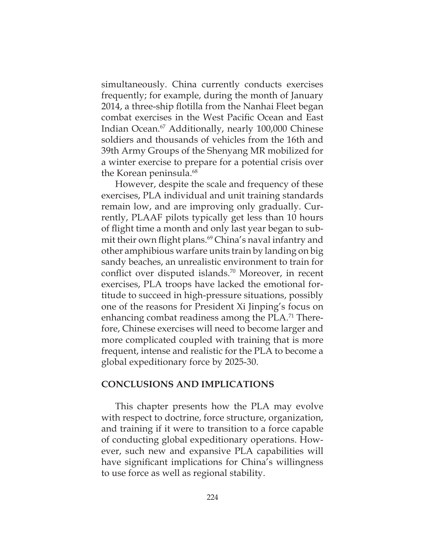simultaneously. China currently conducts exercises frequently; for example, during the month of January 2014, a three-ship flotilla from the Nanhai Fleet began combat exercises in the West Pacific Ocean and East Indian Ocean.67 Additionally, nearly 100,000 Chinese soldiers and thousands of vehicles from the 16th and 39th Army Groups of the Shenyang MR mobilized for a winter exercise to prepare for a potential crisis over the Korean peninsula.<sup>68</sup>

However, despite the scale and frequency of these exercises, PLA individual and unit training standards remain low, and are improving only gradually. Currently, PLAAF pilots typically get less than 10 hours of flight time a month and only last year began to submit their own flight plans.<sup>69</sup> China's naval infantry and other amphibious warfare units train by landing on big sandy beaches, an unrealistic environment to train for conflict over disputed islands.<sup>70</sup> Moreover, in recent exercises, PLA troops have lacked the emotional fortitude to succeed in high-pressure situations, possibly one of the reasons for President Xi Jinping's focus on enhancing combat readiness among the PLA.<sup>71</sup> Therefore, Chinese exercises will need to become larger and more complicated coupled with training that is more frequent, intense and realistic for the PLA to become a global expeditionary force by 2025-30.

#### **CONCLUSIONS AND IMPLICATIONS**

This chapter presents how the PLA may evolve with respect to doctrine, force structure, organization, and training if it were to transition to a force capable of conducting global expeditionary operations. However, such new and expansive PLA capabilities will have significant implications for China's willingness to use force as well as regional stability.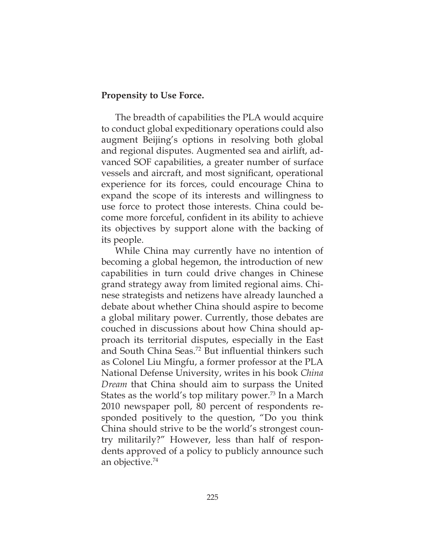### **Propensity to Use Force.**

The breadth of capabilities the PLA would acquire to conduct global expeditionary operations could also augment Beijing's options in resolving both global and regional disputes. Augmented sea and airlift, advanced SOF capabilities, a greater number of surface vessels and aircraft, and most signifcant, operational experience for its forces, could encourage China to expand the scope of its interests and willingness to use force to protect those interests. China could become more forceful, confident in its ability to achieve its objectives by support alone with the backing of its people.

While China may currently have no intention of becoming a global hegemon, the introduction of new capabilities in turn could drive changes in Chinese grand strategy away from limited regional aims. Chinese strategists and netizens have already launched a debate about whether China should aspire to become a global military power. Currently, those debates are couched in discussions about how China should approach its territorial disputes, especially in the East and South China Seas.<sup>72</sup> But influential thinkers such as Colonel Liu Mingfu, a former professor at the PLA National Defense University, writes in his book *China Dream* that China should aim to surpass the United States as the world's top military power.<sup>73</sup> In a March 2010 newspaper poll, 80 percent of respondents responded positively to the question, "Do you think China should strive to be the world's strongest country militarily?" However, less than half of respondents approved of a policy to publicly announce such an objective.74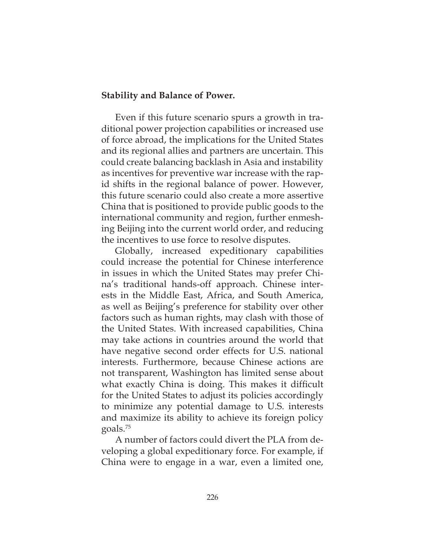### **Stability and Balance of Power.**

Even if this future scenario spurs a growth in traditional power projection capabilities or increased use of force abroad, the implications for the United States and its regional allies and partners are uncertain. This could create balancing backlash in Asia and instability as incentives for preventive war increase with the rapid shifts in the regional balance of power. However, this future scenario could also create a more assertive China that is positioned to provide public goods to the international community and region, further enmeshing Beijing into the current world order, and reducing the incentives to use force to resolve disputes.

Globally, increased expeditionary capabilities could increase the potential for Chinese interference in issues in which the United States may prefer China's traditional hands-off approach. Chinese interests in the Middle East, Africa, and South America, as well as Beijing's preference for stability over other factors such as human rights, may clash with those of the United States. With increased capabilities, China may take actions in countries around the world that have negative second order effects for U.S. national interests. Furthermore, because Chinese actions are not transparent, Washington has limited sense about what exactly China is doing. This makes it difficult for the United States to adjust its policies accordingly to minimize any potential damage to U.S. interests and maximize its ability to achieve its foreign policy goals.75

A number of factors could divert the PLA from developing a global expeditionary force. For example, if China were to engage in a war, even a limited one,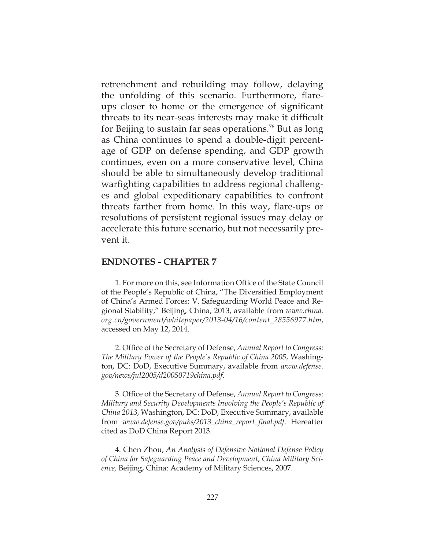retrenchment and rebuilding may follow, delaying the unfolding of this scenario. Furthermore, flareups closer to home or the emergence of signifcant threats to its near-seas interests may make it difficult for Beijing to sustain far seas operations.76 But as long as China continues to spend a double-digit percentage of GDP on defense spending, and GDP growth continues, even on a more conservative level, China should be able to simultaneously develop traditional warfighting capabilities to address regional challenges and global expeditionary capabilities to confront threats farther from home. In this way, flare-ups or resolutions of persistent regional issues may delay or accelerate this future scenario, but not necessarily prevent it.

#### **ENDNOTES - CHAPTER 7**

1. For more on this, see Information Office of the State Council of the People's Republic of China, "The Diversified Employment of China's Armed Forces: V. Safeguarding World Peace and Regional Stability," Beijing, China, 2013, available from *www.china. org.cn/government/whitepaper/2013-04/16/content\_28556977.htm*, accessed on May 12, 2014.

2. Office of the Secretary of Defense, *Annual Report to Congress: The Military Power of the People's Republic of China 2005*, Washington, DC: DoD, Executive Summary, available from *www.defense. gov/news/jul2005/d20050719china.pdf*.

3. Office of the Secretary of Defense, *Annual Report to Congress: Military and Security Developments Involving the People's Republic of China 2013*, Washington, DC: DoD, Executive Summary, available from *www.defense.gov/pubs/2013\_china\_report\_fnal.pdf*. Hereafter cited as DoD China Report 2013.

4. Chen Zhou, *An Analysis of Defensive National Defense Policy of China for Safeguarding Peace and Development*, *China Military Science,* Beijing, China: Academy of Military Sciences, 2007.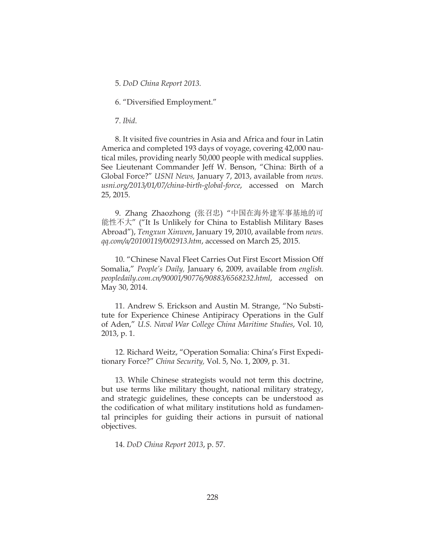5. *DoD China Report 2013.* 

6. "Diversified Employment."

7. *Ibid*.

8. It visited five countries in Asia and Africa and four in Latin America and completed 193 days of voyage, covering 42,000 nautical miles, providing nearly 50,000 people with medical supplies. See Lieutenant Commander Jeff W. Benson, "China: Birth of a Global Force?" *USNI News,* January 7, 2013, available from *news. usni.org/2013/01/07/china-birth-global-force*, accessed on March 25, 2015.

9. Zhang Zhaozhong (张召忠) "中国在海外建军事基地的可 能性不大" ("It Is Unlikely for China to Establish Military Bases Abroad"), *Tengxun Xinwen*, January 19, 2010, available from *news. qq.com/a/20100119/002913.htm*, accessed on March 25, 2015.

10. "Chinese Naval Fleet Carries Out First Escort Mission Off Somalia," *People's Daily,* January 6, 2009, available from *english. peopledaily.com.cn/90001/90776/90883/6568232.html*, accessed on May 30, 2014.

11. Andrew S. Erickson and Austin M. Strange, "No Substitute for Experience Chinese Antipiracy Operations in the Gulf of Aden," *U.S. Naval War College China Maritime Studies*, Vol. 10, 2013, p. 1.

12. Richard Weitz, "Operation Somalia: China's First Expeditionary Force?" *China Security,* Vol. 5, No. 1, 2009, p. 31.

13. While Chinese strategists would not term this doctrine, but use terms like military thought, national military strategy, and strategic guidelines, these concepts can be understood as the codification of what military institutions hold as fundamental principles for guiding their actions in pursuit of national objectives.

14. *DoD China Report 2013*, p. 57.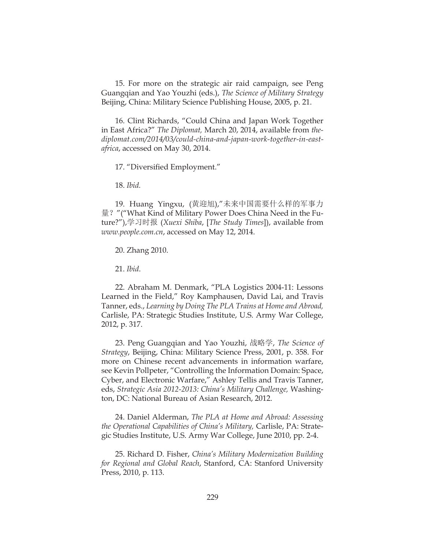15. For more on the strategic air raid campaign, see Peng Guangqian and Yao Youzhi (eds.), *The Science of Military Strategy* Beijing, China: Military Science Publishing House, 2005, p. 21.

16. Clint Richards, "Could China and Japan Work Together in East Africa?" *The Diplomat,* March 20, 2014, available from *thediplomat.com/2014/03/could-china-and-japan-work-together-in-eastafrica*, accessed on May 30, 2014.

17. "Diversified Employment."

18. *Ibid.*

19. Huang Yingxu, (黄迎旭),"未来中国需要什么样的军事力 量?"("What Kind of Military Power Does China Need in the Future?"),学习时报 (*Xuexi Shiba*, [*The Study Times*]), available from *www.people.com.cn*, accessed on May 12, 2014.

20. Zhang 2010.

21. *Ibid*.

22. Abraham M. Denmark, "PLA Logistics 2004-11: Lessons Learned in the Field," Roy Kamphausen, David Lai, and Travis Tanner, eds., *Learning by Doing The PLA Trains at Home and Abroad,* Carlisle, PA: Strategic Studies Institute, U.S. Army War College, 2012, p. 317.

23. Peng Guangqian and Yao Youzhi, 战略学, *The Science of Strategy*, Beijing, China: Military Science Press, 2001, p. 358. For more on Chinese recent advancements in information warfare, see Kevin Pollpeter, "Controlling the Information Domain: Space, Cyber, and Electronic Warfare," Ashley Tellis and Travis Tanner, eds, *Strategic Asia 2012-2013: China's Military Challenge,* Washington, DC: National Bureau of Asian Research, 2012.

24. Daniel Alderman, *The PLA at Home and Abroad: Assessing the Operational Capabilities of China's Military,* Carlisle, PA: Strategic Studies Institute, U.S. Army War College, June 2010, pp. 2-4.

25. Richard D. Fisher, *China's Military Modernization Building for Regional and Global Reach*, Stanford, CA: Stanford University Press, 2010, p. 113.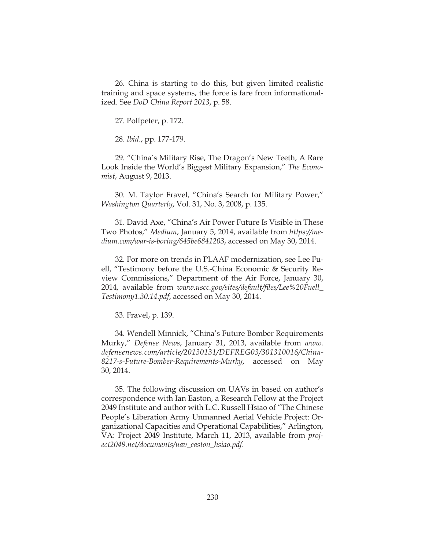26. China is starting to do this, but given limited realistic training and space systems, the force is fare from informationalized. See *DoD China Report 2013*, p. 58.

27. Pollpeter, p. 172.

28. *Ibid*., pp. 177-179.

29. "China's Military Rise, The Dragon's New Teeth, A Rare Look Inside the World's Biggest Military Expansion," *The Economist*, August 9, 2013.

30. M. Taylor Fravel, "China's Search for Military Power," *Washington Quarterly*, Vol. 31, No. 3, 2008, p. 135.

31. David Axe, "China's Air Power Future Is Visible in These Two Photos," *Medium*, January 5, 2014, available from *https://medium.com/war-is-boring/645be6841203*, accessed on May 30, 2014.

32. For more on trends in PLAAF modernization, see Lee Fuell, "Testimony before the U.S.-China Economic & Security Review Commissions," Department of the Air Force, January 30, 2014, available from *www.uscc.gov/sites/default/fles/Lee%20Fuell\_ Testimony1.30.14.pdf*, accessed on May 30, 2014.

33. Fravel, p. 139.

34. Wendell Minnick, "China's Future Bomber Requirements Murky," *Defense News*, January 31, 2013, available from *www. defensenews.com/article/20130131/DEFREG03/301310016/China-8217-s-Future-Bomber-Requirements-Murky*, accessed on May 30, 2014.

35. The following discussion on UAVs in based on author's correspondence with Ian Easton, a Research Fellow at the Project 2049 Institute and author with L.C. Russell Hsiao of "The Chinese People's Liberation Army Unmanned Aerial Vehicle Project: Organizational Capacities and Operational Capabilities," Arlington, VA: Project 2049 Institute, March 11, 2013, available from *project2049.net/documents/uav\_easton\_hsiao.pdf*.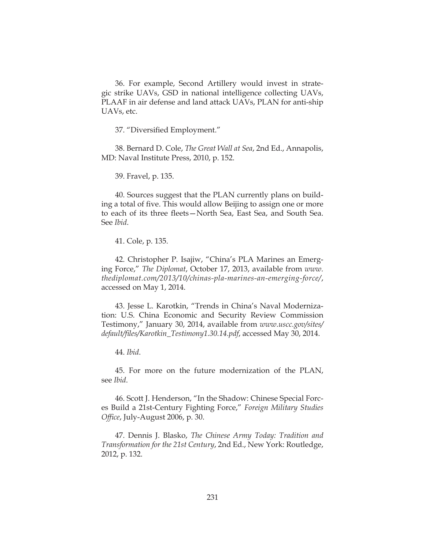36. For example, Second Artillery would invest in strategic strike UAVs, GSD in national intelligence collecting UAVs, PLAAF in air defense and land attack UAVs, PLAN for anti-ship UAVs, etc.

37. "Diversified Employment."

38. Bernard D. Cole, *The Great Wall at Sea*, 2nd Ed., Annapolis, MD: Naval Institute Press, 2010, p. 152.

39. Fravel, p. 135.

40. Sources suggest that the PLAN currently plans on building a total of five. This would allow Beijing to assign one or more to each of its three fleets-North Sea, East Sea, and South Sea. See *Ibid*.

41. Cole, p. 135.

42. Christopher P. Isajiw, "China's PLA Marines an Emerging Force," *The Diplomat*, October 17, 2013, available from *www. thediplomat.com/2013/10/chinas-pla-marines-an-emerging-force/*, accessed on May 1, 2014.

43. Jesse L. Karotkin, "Trends in China's Naval Modernization: U.S. China Economic and Security Review Commission Testimony," January 30, 2014, available from *www.uscc.gov/sites/ default/fles/Karotkin\_Testimony1.30.14.pdf*, accessed May 30, 2014.

44. *Ibid*.

45. For more on the future modernization of the PLAN, see *Ibid*.

46. Scott J. Henderson, "In the Shadow: Chinese Special Forces Build a 21st-Century Fighting Force," *Foreign Military Studies Offce*, July-August 2006, p. 30.

47. Dennis J. Blasko, *The Chinese Army Today: Tradition and Transformation for the 21st Century*, 2nd Ed., New York: Routledge, 2012, p. 132.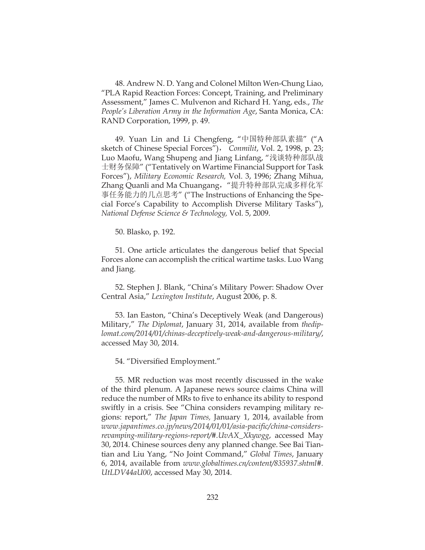48. Andrew N. D. Yang and Colonel Milton Wen-Chung Liao, "PLA Rapid Reaction Forces: Concept, Training, and Preliminary Assessment," James C. Mulvenon and Richard H. Yang, eds., *The People's Liberation Army in the Information Age*, Santa Monica, CA: RAND Corporation, 1999, p. 49.

49. Yuan Lin and Li Chengfeng, "中国特种部队素描" ("A sketch of Chinese Special Forces"), *Conmilit*, Vol. 2, 1998, p. 23; Luo Maofu, Wang Shupeng and Jiang Linfang, "浅谈特种部队战 士财务保障" ("Tentatively on Wartime Financial Support for Task Forces"), *Military Economic Research,* Vol. 3, 1996; Zhang Mihua, Zhang Quanli and Ma Chuangang, "提升特种部队完成多样化军 事任务能力的几点思考" ("The Instructions of Enhancing the Special Force's Capability to Accomplish Diverse Military Tasks"), *National Defense Science & Technology,* Vol. 5, 2009.

50. Blasko, p. 192.

51. One article articulates the dangerous belief that Special Forces alone can accomplish the critical wartime tasks. Luo Wang and Jiang.

52. Stephen J. Blank, "China's Military Power: Shadow Over Central Asia," *Lexington Institute*, August 2006, p. 8.

53. Ian Easton, "China's Deceptively Weak (and Dangerous) Military," *The Diplomat*, January 31, 2014, available from *thediplomat.com/2014/01/chinas-deceptively-weak-and-dangerous-military/*, accessed May 30, 2014.

54. "Diversified Employment."

55. MR reduction was most recently discussed in the wake of the third plenum. A Japanese news source claims China will reduce the number of MRs to five to enhance its ability to respond swiftly in a crisis. See "China considers revamping military regions: report," *The Japan Times,* January 1, 2014, available from *www.japantimes.co.jp/news/2014/01/01/asia-pacifc/china-considersrevamping-military-regions-report/#.UvAX\_Xkywgg*, accessed May 30, 2014. Chinese sources deny any planned change. See Bai Tiantian and Liu Yang, "No Joint Command," *Global Times*, January 6, 2014, available from *www.globaltimes.cn/content/835937.shtml#. UtLDV44aU00*, accessed May 30, 2014.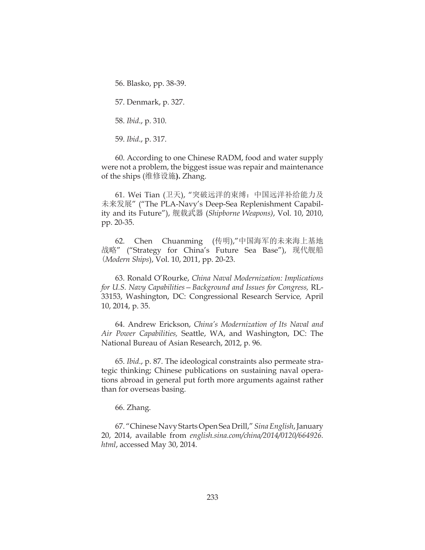56. Blasko, pp. 38-39.

57. Denmark, p. 327.

58. *Ibid*., p. 310.

59. *Ibid*., p. 317.

60. According to one Chinese RADM, food and water supply were not a problem, the biggest issue was repair and maintenance of the ships (维修设施**).** Zhang.

61. Wei Tian (卫天), "突破远洋的束缚:中国远洋补给能力及 未来发展" ("The PLA-Navy's Deep-Sea Replenishment Capability and its Future"), 舰载武器 (*Shipborne Weapons)*, Vol. 10, 2010, pp. 20-35.

62. Chen Chuanming (传明),"中国海军的未来海上基地 战略" ("Strategy for China's Future Sea Base"), 现代舰船 (*Modern Ships*), Vol. 10, 2011, pp. 20-23.

63. Ronald O'Rourke, *China Naval Modernization: Implications for U.S. Navy Capabilities—Background and Issues for Congress,* RL-33153, Washington, DC: Congressional Research Service*,* April 10, 2014, p. 35.

64. Andrew Erickson, *China's Modernization of Its Naval and Air Power Capabilities,* Seattle, WA, and Washington, DC: The National Bureau of Asian Research, 2012, p. 96.

65. *Ibid*., p. 87. The ideological constraints also permeate strategic thinking; Chinese publications on sustaining naval operations abroad in general put forth more arguments against rather than for overseas basing.

66. Zhang.

67. "Chinese Navy Starts Open Sea Drill," *Sina English*, January 20, 2014, available from *english.sina.com/china/2014/0120/664926. html*, accessed May 30, 2014.